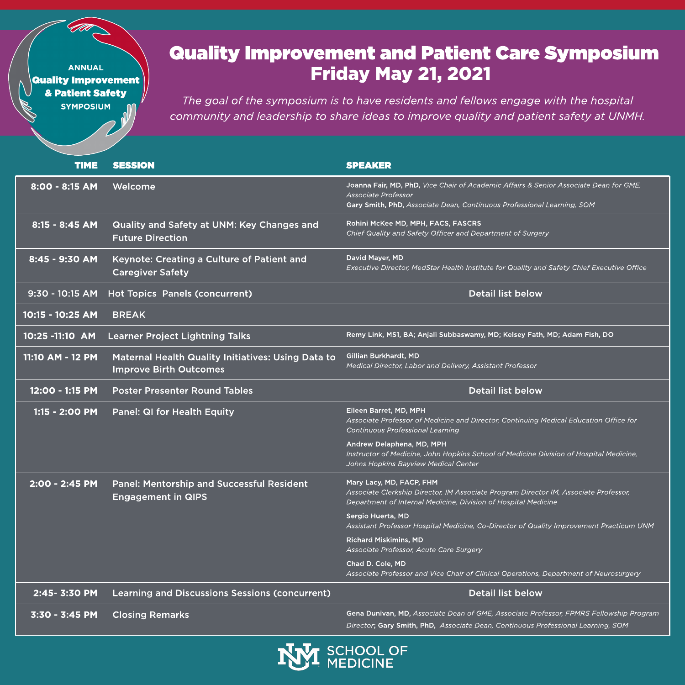### **Friday May 21, 2021 Quality Improvement and Patient Care Symposium**

**The goal of the symposium is to have residents and fellows engage with the hospital community and leadership to share ideas to improve quality and patient safety at UNMH.**

| <b>TIME</b>      | <b>SESSION</b>                                                                             | <b>SPEAKER</b>                                                                                                                                                                                          |
|------------------|--------------------------------------------------------------------------------------------|---------------------------------------------------------------------------------------------------------------------------------------------------------------------------------------------------------|
| 8:00 - 8:15 AM   | Welcome                                                                                    | Joanna Fair, MD, PhD, Vice Chair of Academic Affairs & Senior Associate Dean for GME,<br>Associate Professor<br>Gary Smith, PhD, Associate Dean, Continuous Professional Learning, SOM                  |
| 8:15 - 8:45 AM   | Quality and Safety at UNM: Key Changes and<br><b>Future Direction</b>                      | Rohini McKee MD, MPH, FACS, FASCRS<br>Chief Quality and Safety Officer and Department of Surgery                                                                                                        |
| 8:45 - 9:30 AM   | Keynote: Creating a Culture of Patient and<br><b>Caregiver Safety</b>                      | David Mayer, MD<br>Executive Director, MedStar Health Institute for Quality and Safety Chief Executive Office                                                                                           |
| 9:30 - 10:15 AM  | <b>Hot Topics Panels (concurrent)</b>                                                      | <b>Detail list below</b>                                                                                                                                                                                |
| 10:15 - 10:25 AM | <b>BREAK</b>                                                                               |                                                                                                                                                                                                         |
| 10:25 -11:10 AM  | Learner Project Lightning Talks                                                            | Remy Link, MS1, BA; Anjali Subbaswamy, MD; Kelsey Fath, MD; Adam Fish, DO                                                                                                                               |
| 11:10 AM - 12 PM | <b>Maternal Health Quality Initiatives: Using Data to</b><br><b>Improve Birth Outcomes</b> | Gillian Burkhardt, MD<br>Medical Director, Labor and Delivery, Assistant Professor                                                                                                                      |
| 12:00 - 1:15 PM  | <b>Poster Presenter Round Tables</b>                                                       | <b>Detail list below</b>                                                                                                                                                                                |
|                  | 1:15 - 2:00 PM Panel: QI for Health Equity                                                 | Eileen Barret, MD, MPH<br>Associate Professor of Medicine and Director, Continuing Medical Education Office for<br><b>Continuous Professional Learning</b>                                              |
|                  |                                                                                            | Andrew Delaphena, MD, MPH<br>Instructor of Medicine, John Hopkins School of Medicine Division of Hospital Medicine,<br>Johns Hopkins Bayview Medical Center                                             |
| 2:00 - 2:45 PM   | <b>Panel: Mentorship and Successful Resident</b><br><b>Engagement in QIPS</b>              | Mary Lacy, MD, FACP, FHM<br>Associate Clerkship Director, IM Associate Program Director IM, Associate Professor,<br>Department of Internal Medicine, Division of Hospital Medicine<br>Sergio Huerta, MD |

**Assistant Professor Hospital Medicine, Co-Director of Quality Improvement Practicum UNM** Richard Miskimins, MD **Associate Professor, Acute Care Surgery** Chad D. Cole, MD **Associate Professor and Vice Chair of Clinical Operations, Department of Neurosurgery**

2:45- 3:30 PM Learning and Discussions Sessions (concurrent) The Detail list below

3:30 - 3:45 PM Closing Remarks Gena Dunivan, MD, **Associate Dean of GME, Associate Professor, FPMRS Fellowship Program**

**Director**; Gary Smith, PhD, **Associate Dean, Continuous Professional Learning, SOM**

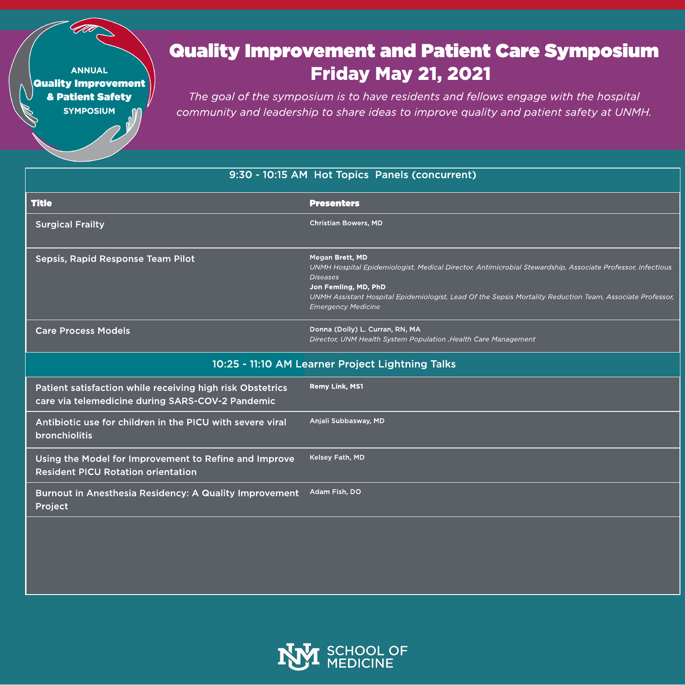## **Friday May 21, 2021 Quality Improvement and Patient Care Symposium**

**The goal of the symposium is to have residents and fellows engage with the hospital community and leadership to share ideas to improve quality and patient safety at UNMH.**

### 9:30 - 10:15 AM Hot Topics Panels (concurrent)

| <b>Title</b>                                                                                                  | <b>Presenters</b>                                                                                                                                                                                                                                                                                                  |  |
|---------------------------------------------------------------------------------------------------------------|--------------------------------------------------------------------------------------------------------------------------------------------------------------------------------------------------------------------------------------------------------------------------------------------------------------------|--|
| <b>Surgical Frailty</b>                                                                                       | <b>Christian Bowers, MD</b>                                                                                                                                                                                                                                                                                        |  |
| Sepsis, Rapid Response Team Pilot                                                                             | Megan Brett, MD<br>UNMH Hospital Epidemiologist, Medical Director, Antimicrobial Stewardship, Associate Professor, Infectious<br><b>Diseases</b><br>Jon Femling, MD, PhD<br>UNMH Assistant Hospital Epidemiologist, Lead Of the Sepsis Mortality Reduction Team, Associate Professor,<br><b>Emergency Medicine</b> |  |
| <b>Care Process Models</b>                                                                                    | Donna (Dolly) L. Curran, RN, MA<br>Director, UNM Health System Population , Health Care Management                                                                                                                                                                                                                 |  |
| 10:25 - 11:10 AM Learner Project Lightning Talks                                                              |                                                                                                                                                                                                                                                                                                                    |  |
| Patient satisfaction while receiving high risk Obstetrics<br>care via telemedicine during SARS-COV-2 Pandemic | <b>Remy Link, MS1</b>                                                                                                                                                                                                                                                                                              |  |
| Antibiotic use for children in the PICU with severe viral<br><b>bronchiolitis</b>                             | Anjali Subbasway, MD                                                                                                                                                                                                                                                                                               |  |
| Using the Model for Improvement to Refine and Improve<br><b>Resident PICU Rotation orientation</b>            | Kelsey Fath, MD                                                                                                                                                                                                                                                                                                    |  |
| <b>Burnout in Anesthesia Residency: A Quality Improvement</b><br>Project                                      | Adam Fish, DO                                                                                                                                                                                                                                                                                                      |  |

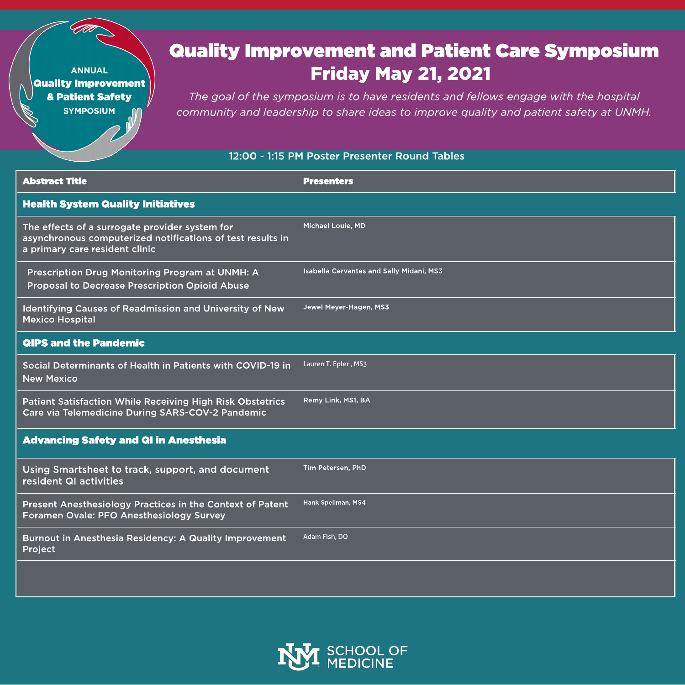# **Quality Improvement and Patient Care Symposium Friday May 21, 2021**

The goal of the symposium is to have residents and fellows engage with the hospital community and leadership to share ideas to improve quality and patient safety at UNMH.

#### 12:00 - 1:15 PM Poster Presenter Round Tables

| <b>Abstract Title</b>                                                                                                                          | <b>Presenters</b>                               |
|------------------------------------------------------------------------------------------------------------------------------------------------|-------------------------------------------------|
| <b>Health System Quality Initiatives</b>                                                                                                       |                                                 |
| The effects of a surrogate provider system for<br>asynchronous computerized notifications of test results in<br>a primary care resident clinic | <b>Michael Louie, MD</b>                        |
| <b>Prescription Drug Monitoring Program at UNMH: A</b><br><b>Proposal to Decrease Prescription Opioid Abuse</b>                                | <b>Isabella Cervantes and Sally Midani, MS3</b> |
| <b>Identifying Causes of Readmission and University of New</b><br><b>Mexico Hospital</b>                                                       | Jewel Meyer-Hagen, MS3                          |
| <b>QIPS and the Pandemic</b>                                                                                                                   |                                                 |
| Social Determinants of Health in Patients with COVID-19 in<br><b>New Mexico</b>                                                                | Lauren T. Epler, MS3                            |
| <b>Patient Satisfaction While Receiving High Risk Obstetrics</b><br><b>Care via Telemedicine During SARS-COV-2 Pandemic</b>                    | Remy Link, MS1, BA                              |
| <b>Advancing Safety and QI in Anesthesia</b>                                                                                                   |                                                 |
| Using Smartsheet to track, support, and document<br>resident QI activities                                                                     | Tim Petersen, PhD                               |
| Present Anesthesiology Practices in the Context of Patent                                                                                      | Hank Spellman, MS4                              |

Burnout in Anesthesia Residency: A Quality Improvement Adam Fish, DO Project

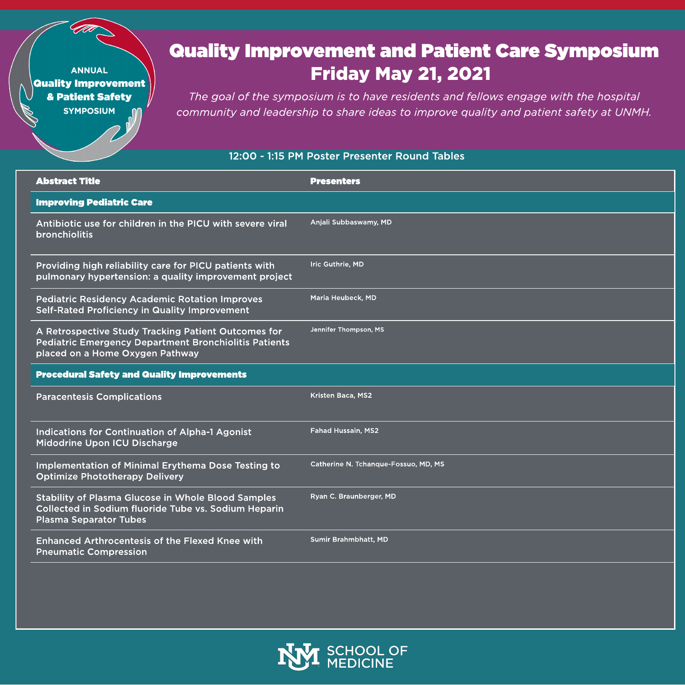# **Friday May 21, 2021 Quality Improvement and Patient Care Symposium**

**The goal of the symposium is to have residents and fellows engage with the hospital community and leadership to share ideas to improve quality and patient safety at UNMH.**

#### 12:00 - 1:15 PM Poster Presenter Round Tables

| <b>Abstract Title</b>                                                                                                                                  | <b>Presenters</b>                    |
|--------------------------------------------------------------------------------------------------------------------------------------------------------|--------------------------------------|
| <b>Improving Pediatric Care</b>                                                                                                                        |                                      |
| Antibiotic use for children in the PICU with severe viral<br><b>bronchiolitis</b>                                                                      | Anjali Subbaswamy, MD                |
| Providing high reliability care for PICU patients with<br>pulmonary hypertension: a quality improvement project                                        | Iric Guthrie, MD                     |
| <b>Pediatric Residency Academic Rotation Improves</b><br><b>Self-Rated Proficiency in Quality Improvement</b>                                          | Maria Heubeck, MD                    |
| A Retrospective Study Tracking Patient Outcomes for<br><b>Pediatric Emergency Department Bronchiolitis Patients</b><br>placed on a Home Oxygen Pathway | Jennifer Thompson, MS                |
| <b>Procedural Safety and Quality Improvements</b>                                                                                                      |                                      |
| <b>Paracentesis Complications</b>                                                                                                                      | <b>Kristen Baca, MS2</b>             |
| Indications for Continuation of Alpha-1 Agonist<br>Midodrine Upon ICU Discharge                                                                        | <b>Fahad Hussain, MS2</b>            |
| Implementation of Minimal Erythema Dose Testing to<br><b>Optimize Phototherapy Delivery</b>                                                            | Catherine N. Tchanque-Fossuo, MD, MS |
| <b>Stability of Plasma Glucose in Whole Blood Samples</b><br>Collected in Sodium fluoride Tube vs. Sodium Heparin                                      | Ryan C. Braunberger, MD              |

Plasma Separator Tubes

Enhanced Arthrocentesis of the Flexed Knee with Pneumatic Compression

**TEN SCHOOL OF** 

Sumir Brahmbhatt, MD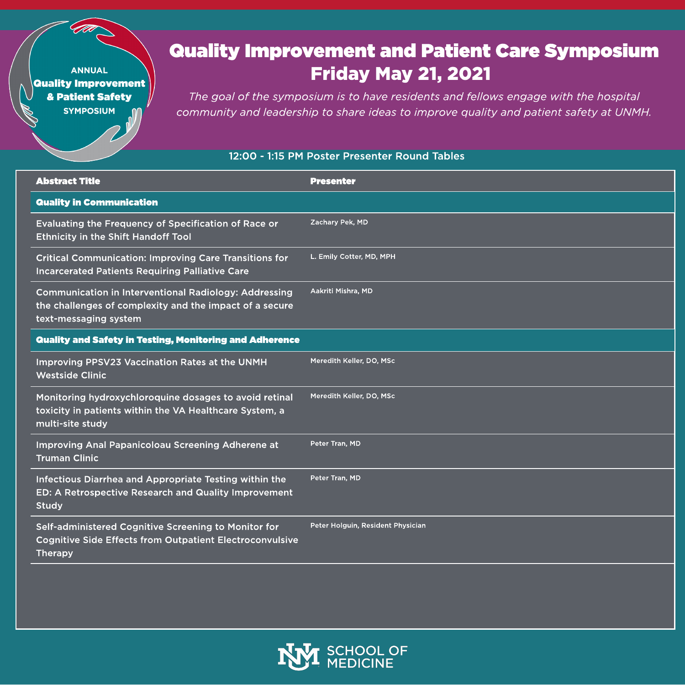# **Friday May 21, 2021 Quality Improvement and Patient Care Symposium**

**The goal of the symposium is to have residents and fellows engage with the hospital community and leadership to share ideas to improve quality and patient safety at UNMH.**

#### 12:00 - 1:15 PM Poster Presenter Round Tables

| <b>Abstract Title</b>                                                                                                                            | <b>Presenter</b>         |
|--------------------------------------------------------------------------------------------------------------------------------------------------|--------------------------|
| <b>Quality in Communication</b>                                                                                                                  |                          |
| Evaluating the Frequency of Specification of Race or<br><b>Ethnicity in the Shift Handoff Tool</b>                                               | Zachary Pek, MD          |
| <b>Critical Communication: Improving Care Transitions for</b><br><b>Incarcerated Patients Requiring Palliative Care</b>                          | L. Emily Cotter, MD, MPH |
| <b>Communication in Interventional Radiology: Addressing</b><br>the challenges of complexity and the impact of a secure<br>text-messaging system | Aakriti Mishra, MD       |
| <b>Quality and Safety in Testing, Monitoring and Adherence</b>                                                                                   |                          |
| Improving PPSV23 Vaccination Rates at the UNMH<br><b>Westside Clinic</b>                                                                         | Meredith Keller, DO, MSc |
| Monitoring hydroxychloroquine dosages to avoid retinal<br>toxicity in patients within the VA Healthcare System, a<br>multi-site study            | Meredith Keller, DO, MSc |
| Improving Anal Papanicoloau Screening Adherene at<br><b>Truman Clinic</b>                                                                        | Peter Tran, MD           |
| Infectious Diarrhea and Appropriate Testing within the<br>ED: A Retrospective Research and Quality Improvement<br><b>Study</b>                   | Peter Tran, MD           |

Self-administered Cognitive Screening to Monitor for Cognitive Side Effects from Outpatient Electroconvulsive Therapy



Peter Holguin, Resident Physician